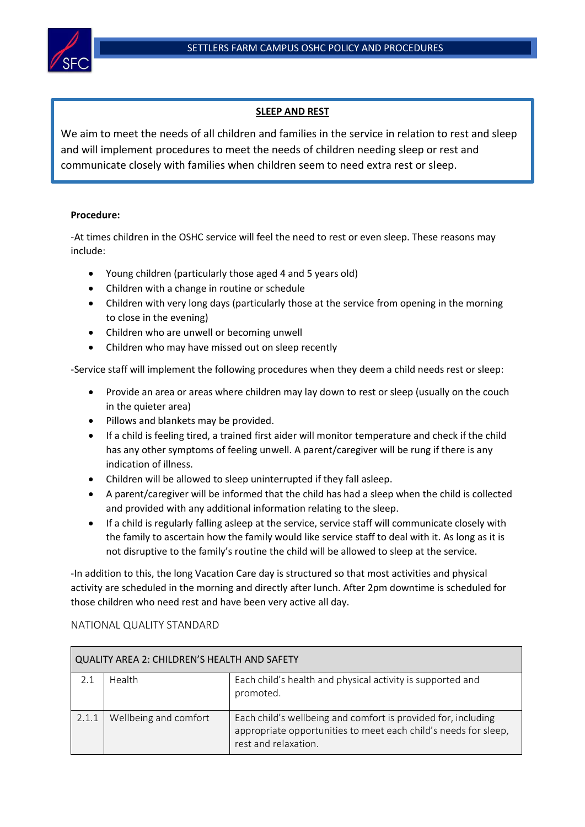

## **SLEEP AND REST**

We aim to meet the needs of all children and families in the service in relation to rest and sleep and will implement procedures to meet the needs of children needing sleep or rest and communicate closely with families when children seem to need extra rest or sleep.

## **Procedure:**

-At times children in the OSHC service will feel the need to rest or even sleep. These reasons may include:

- Young children (particularly those aged 4 and 5 years old)
- Children with a change in routine or schedule
- Children with very long days (particularly those at the service from opening in the morning to close in the evening)
- Children who are unwell or becoming unwell
- Children who may have missed out on sleep recently

-Service staff will implement the following procedures when they deem a child needs rest or sleep:

- Provide an area or areas where children may lay down to rest or sleep (usually on the couch in the quieter area)
- Pillows and blankets may be provided.
- If a child is feeling tired, a trained first aider will monitor temperature and check if the child has any other symptoms of feeling unwell. A parent/caregiver will be rung if there is any indication of illness.
- Children will be allowed to sleep uninterrupted if they fall asleep.
- A parent/caregiver will be informed that the child has had a sleep when the child is collected and provided with any additional information relating to the sleep.
- If a child is regularly falling asleep at the service, service staff will communicate closely with the family to ascertain how the family would like service staff to deal with it. As long as it is not disruptive to the family's routine the child will be allowed to sleep at the service.

-In addition to this, the long Vacation Care day is structured so that most activities and physical activity are scheduled in the morning and directly after lunch. After 2pm downtime is scheduled for those children who need rest and have been very active all day.

## NATIONAL QUALITY STANDARD

| QUALITY AREA 2: CHILDREN'S HEALTH AND SAFETY |                       |                                                                                                                                                          |  |  |
|----------------------------------------------|-----------------------|----------------------------------------------------------------------------------------------------------------------------------------------------------|--|--|
| 2.1                                          | Health                | Each child's health and physical activity is supported and<br>promoted.                                                                                  |  |  |
| 2.1.1                                        | Wellbeing and comfort | Each child's wellbeing and comfort is provided for, including<br>appropriate opportunities to meet each child's needs for sleep,<br>rest and relaxation. |  |  |